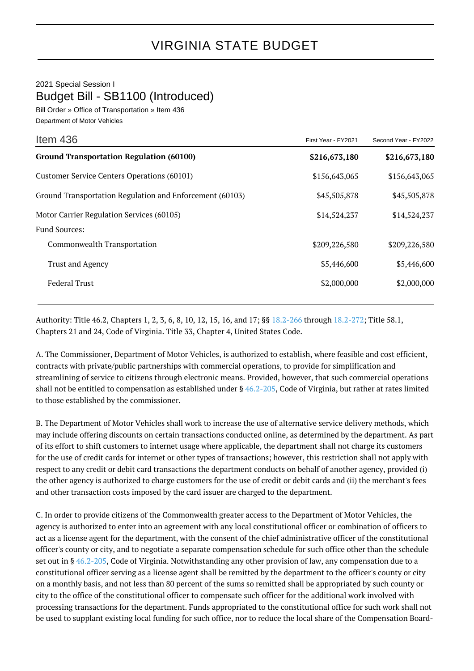2021 Special Session I Budget Bill - SB1100 (Introduced)

Bill Order » Office of Transportation » Item 436 Department of Motor Vehicles

| Item 436                                                 | First Year - FY2021 | Second Year - FY2022 |
|----------------------------------------------------------|---------------------|----------------------|
| <b>Ground Transportation Regulation (60100)</b>          | \$216,673,180       | \$216,673,180        |
| Customer Service Centers Operations (60101)              | \$156,643,065       | \$156,643,065        |
| Ground Transportation Regulation and Enforcement (60103) | \$45,505,878        | \$45,505,878         |
| Motor Carrier Regulation Services (60105)                | \$14,524,237        | \$14,524,237         |
| <b>Fund Sources:</b>                                     |                     |                      |
| Commonwealth Transportation                              | \$209,226,580       | \$209,226,580        |
| <b>Trust and Agency</b>                                  | \$5,446,600         | \$5,446,600          |
| <b>Federal Trust</b>                                     | \$2,000,000         | \$2,000,000          |
|                                                          |                     |                      |

Authority: Title 46.2, Chapters 1, 2, 3, 6, 8, 10, 12, 15, 16, and 17; §§ [18.2-266](http://law.lis.virginia.gov/vacode/18.2-266/) through [18.2-272;](http://law.lis.virginia.gov/vacode/18.2-272/) Title 58.1, Chapters 21 and 24, Code of Virginia. Title 33, Chapter 4, United States Code.

A. The Commissioner, Department of Motor Vehicles, is authorized to establish, where feasible and cost efficient, contracts with private/public partnerships with commercial operations, to provide for simplification and streamlining of service to citizens through electronic means. Provided, however, that such commercial operations shall not be entitled to compensation as established under  $\S$  [46.2-205,](http://law.lis.virginia.gov/vacode/46.2-205/) Code of Virginia, but rather at rates limited to those established by the commissioner.

B. The Department of Motor Vehicles shall work to increase the use of alternative service delivery methods, which may include offering discounts on certain transactions conducted online, as determined by the department. As part of its effort to shift customers to internet usage where applicable, the department shall not charge its customers for the use of credit cards for internet or other types of transactions; however, this restriction shall not apply with respect to any credit or debit card transactions the department conducts on behalf of another agency, provided (i) the other agency is authorized to charge customers for the use of credit or debit cards and (ii) the merchant's fees and other transaction costs imposed by the card issuer are charged to the department.

C. In order to provide citizens of the Commonwealth greater access to the Department of Motor Vehicles, the agency is authorized to enter into an agreement with any local constitutional officer or combination of officers to act as a license agent for the department, with the consent of the chief administrative officer of the constitutional officer's county or city, and to negotiate a separate compensation schedule for such office other than the schedule set out in § [46.2-205,](http://law.lis.virginia.gov/vacode/46.2-205/) Code of Virginia. Notwithstanding any other provision of law, any compensation due to a constitutional officer serving as a license agent shall be remitted by the department to the officer's county or city on a monthly basis, and not less than 80 percent of the sums so remitted shall be appropriated by such county or city to the office of the constitutional officer to compensate such officer for the additional work involved with processing transactions for the department. Funds appropriated to the constitutional office for such work shall not be used to supplant existing local funding for such office, nor to reduce the local share of the Compensation Board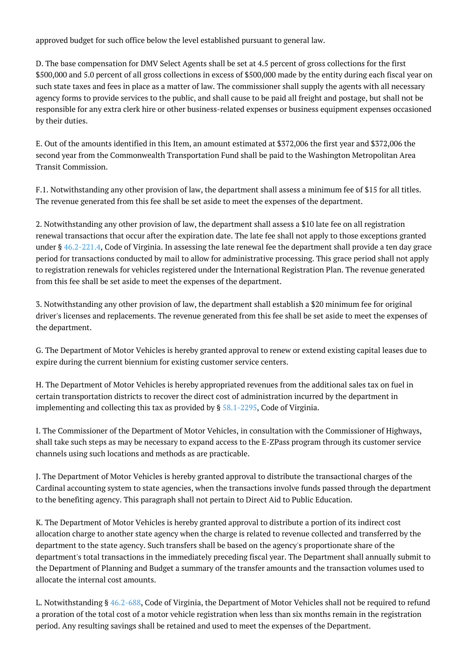approved budget for such office below the level established pursuant to general law.

D. The base compensation for DMV Select Agents shall be set at 4.5 percent of gross collections for the first \$500,000 and 5.0 percent of all gross collections in excess of \$500,000 made by the entity during each fiscal year on such state taxes and fees in place as a matter of law. The commissioner shall supply the agents with all necessary agency forms to provide services to the public, and shall cause to be paid all freight and postage, but shall not be responsible for any extra clerk hire or other business-related expenses or business equipment expenses occasioned by their duties.

E. Out of the amounts identified in this Item, an amount estimated at \$372,006 the first year and \$372,006 the second year from the Commonwealth Transportation Fund shall be paid to the Washington Metropolitan Area Transit Commission.

F.1. Notwithstanding any other provision of law, the department shall assess a minimum fee of \$15 for all titles. The revenue generated from this fee shall be set aside to meet the expenses of the department.

2. Notwithstanding any other provision of law, the department shall assess a \$10 late fee on all registration renewal transactions that occur after the expiration date. The late fee shall not apply to those exceptions granted under  $\S$  [46.2-221.4](http://law.lis.virginia.gov/vacode/46.2-221.4/), Code of Virginia. In assessing the late renewal fee the department shall provide a ten day grace period for transactions conducted by mail to allow for administrative processing. This grace period shall not apply to registration renewals for vehicles registered under the International Registration Plan. The revenue generated from this fee shall be set aside to meet the expenses of the department.

3. Notwithstanding any other provision of law, the department shall establish a \$20 minimum fee for original driver's licenses and replacements. The revenue generated from this fee shall be set aside to meet the expenses of the department.

G. The Department of Motor Vehicles is hereby granted approval to renew or extend existing capital leases due to expire during the current biennium for existing customer service centers.

H. The Department of Motor Vehicles is hereby appropriated revenues from the additional sales tax on fuel in certain transportation districts to recover the direct cost of administration incurred by the department in implementing and collecting this tax as provided by § [58.1-2295,](http://law.lis.virginia.gov/vacode/58.1-2295/) Code of Virginia.

I. The Commissioner of the Department of Motor Vehicles, in consultation with the Commissioner of Highways, shall take such steps as may be necessary to expand access to the E-ZPass program through its customer service channels using such locations and methods as are practicable.

J. The Department of Motor Vehicles is hereby granted approval to distribute the transactional charges of the Cardinal accounting system to state agencies, when the transactions involve funds passed through the department to the benefiting agency. This paragraph shall not pertain to Direct Aid to Public Education.

K. The Department of Motor Vehicles is hereby granted approval to distribute a portion of its indirect cost allocation charge to another state agency when the charge is related to revenue collected and transferred by the department to the state agency. Such transfers shall be based on the agency's proportionate share of the department's total transactions in the immediately preceding fiscal year. The Department shall annually submit to the Department of Planning and Budget a summary of the transfer amounts and the transaction volumes used to allocate the internal cost amounts.

L. Notwithstanding § [46.2-688,](http://law.lis.virginia.gov/vacode/46.2-688/) Code of Virginia, the Department of Motor Vehicles shall not be required to refund a proration of the total cost of a motor vehicle registration when less than six months remain in the registration period. Any resulting savings shall be retained and used to meet the expenses of the Department.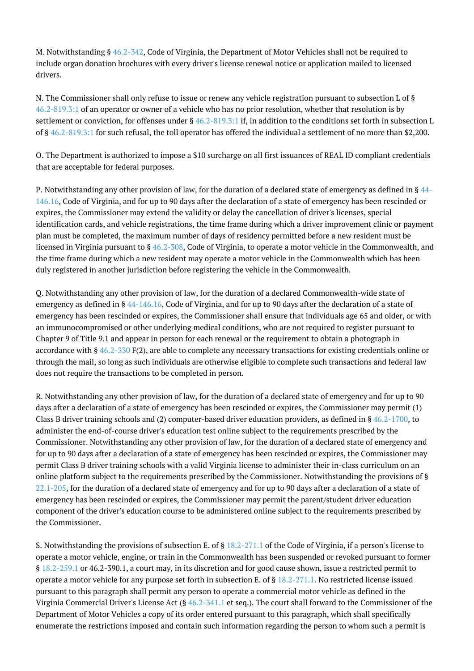M. Notwithstanding § [46.2-342,](http://law.lis.virginia.gov/vacode/46.2-342/) Code of Virginia, the Department of Motor Vehicles shall not be required to include organ donation brochures with every driver's license renewal notice or application mailed to licensed drivers.

N. The Commissioner shall only refuse to issue or renew any vehicle registration pursuant to subsection L of § [46.2-819.3:1](http://law.lis.virginia.gov/vacode/46.2-819.3:1/) of an operator or owner of a vehicle who has no prior resolution, whether that resolution is by settlement or conviction, for offenses under §  $46.2 - 819.3$ :1 if, in addition to the conditions set forth in subsection L of § [46.2-819.3:1](http://law.lis.virginia.gov/vacode/46.2-819.3:1/) for such refusal, the toll operator has offered the individual a settlement of no more than \$2,200.

O. The Department is authorized to impose a \$10 surcharge on all first issuances of REAL ID compliant credentials that are acceptable for federal purposes.

P. Notwithstanding any other provision of law, for the duration of a declared state of emergency as defined in § [44-](http://law.lis.virginia.gov/vacode/44-146.16/) [146.16,](http://law.lis.virginia.gov/vacode/44-146.16/) Code of Virginia, and for up to 90 days after the declaration of a state of emergency has been rescinded or expires, the Commissioner may extend the validity or delay the cancellation of driver's licenses, special identification cards, and vehicle registrations, the time frame during which a driver improvement clinic or payment plan must be completed, the maximum number of days of residency permitted before a new resident must be licensed in Virginia pursuant to § [46.2-308,](http://law.lis.virginia.gov/vacode/46.2-308/) Code of Virginia, to operate a motor vehicle in the Commonwealth, and the time frame during which a new resident may operate a motor vehicle in the Commonwealth which has been duly registered in another jurisdiction before registering the vehicle in the Commonwealth.

Q. Notwithstanding any other provision of law, for the duration of a declared Commonwealth-wide state of emergency as defined in § [44-146.16](http://law.lis.virginia.gov/vacode/44-146.16/), Code of Virginia, and for up to 90 days after the declaration of a state of emergency has been rescinded or expires, the Commissioner shall ensure that individuals age 65 and older, or with an immunocompromised or other underlying medical conditions, who are not required to register pursuant to Chapter 9 of Title 9.1 and appear in person for each renewal or the requirement to obtain a photograph in accordance with §  $46.2$ -330 F(2), are able to complete any necessary transactions for existing credentials online or through the mail, so long as such individuals are otherwise eligible to complete such transactions and federal law does not require the transactions to be completed in person.

R. Notwithstanding any other provision of law, for the duration of a declared state of emergency and for up to 90 days after a declaration of a state of emergency has been rescinded or expires, the Commissioner may permit (1) Class B driver training schools and (2) computer-based driver education providers, as defined in  $\S 46.2$ -1700, to administer the end-of-course driver's education test online subject to the requirements prescribed by the Commissioner. Notwithstanding any other provision of law, for the duration of a declared state of emergency and for up to 90 days after a declaration of a state of emergency has been rescinded or expires, the Commissioner may permit Class B driver training schools with a valid Virginia license to administer their in-class curriculum on an online platform subject to the requirements prescribed by the Commissioner. Notwithstanding the provisions of § [22.1-205](http://law.lis.virginia.gov/vacode/22.1-205/), for the duration of a declared state of emergency and for up to 90 days after a declaration of a state of emergency has been rescinded or expires, the Commissioner may permit the parent/student driver education component of the driver's education course to be administered online subject to the requirements prescribed by the Commissioner.

S. Notwithstanding the provisions of subsection E. of § [18.2-271.1](http://law.lis.virginia.gov/vacode/18.2-271.1/) of the Code of Virginia, if a person's license to operate a motor vehicle, engine, or train in the Commonwealth has been suspended or revoked pursuant to former § [18.2-259.1](http://law.lis.virginia.gov/vacode/18.2-259.1/) or 46.2-390.1, a court may, in its discretion and for good cause shown, issue a restricted permit to operate a motor vehicle for any purpose set forth in subsection E. of §  $18.2-271.1$ . No restricted license issued pursuant to this paragraph shall permit any person to operate a commercial motor vehicle as defined in the Virginia Commercial Driver's License Act (§ [46.2-341.1](http://law.lis.virginia.gov/vacode/46.2-341.1/) et seq.). The court shall forward to the Commissioner of the Department of Motor Vehicles a copy of its order entered pursuant to this paragraph, which shall specifically enumerate the restrictions imposed and contain such information regarding the person to whom such a permit is